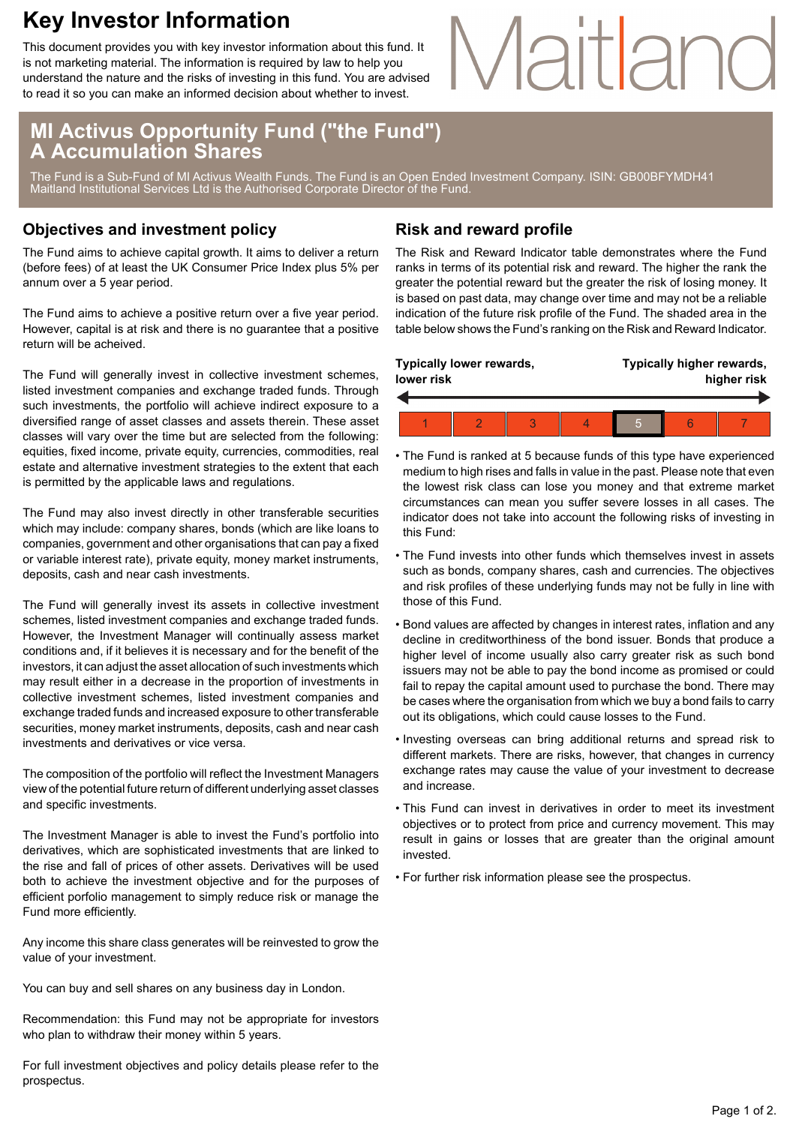### **Key Investor Information**

This document provides you with key investor information about this fund. It is not marketing material. The information is required by law to help you understand the nature and the risks of investing in this fund. You are advised to read it so you can make an informed decision about whether to invest.

# Maitland

#### **MI Activus Opportunity Fund ("the Fund") A Accumulation Shares**

The Fund is a Sub-Fund of MI Activus Wealth Funds. The Fund is an Open Ended Investment Company. ISIN: GB00BFYMDH41 Maitland Institutional Services Ltd is the Authorised Corporate Director of the Fund.

#### **Objectives and investment policy**

The Fund aims to achieve capital growth. It aims to deliver a return (before fees) of at least the UK Consumer Price Index plus 5% per annum over a 5 year period.

The Fund aims to achieve a positive return over a five year period. However, capital is at risk and there is no guarantee that a positive return will be acheived.

The Fund will generally invest in collective investment schemes, listed investment companies and exchange traded funds. Through such investments, the portfolio will achieve indirect exposure to a diversified range of asset classes and assets therein. These asset classes will vary over the time but are selected from the following: equities, fixed income, private equity, currencies, commodities, real estate and alternative investment strategies to the extent that each is permitted by the applicable laws and regulations.

The Fund may also invest directly in other transferable securities which may include: company shares, bonds (which are like loans to companies, government and other organisations that can pay a fixed or variable interest rate), private equity, money market instruments, deposits, cash and near cash investments.

The Fund will generally invest its assets in collective investment schemes, listed investment companies and exchange traded funds. However, the Investment Manager will continually assess market conditions and, if it believes it is necessary and for the benefit of the investors, it can adjust the asset allocation of such investments which may result either in a decrease in the proportion of investments in collective investment schemes, listed investment companies and exchange traded funds and increased exposure to other transferable securities, money market instruments, deposits, cash and near cash investments and derivatives or vice versa.

The composition of the portfolio will reflect the Investment Managers view of the potential future return of different underlying asset classes and specific investments.

The Investment Manager is able to invest the Fund's portfolio into derivatives, which are sophisticated investments that are linked to the rise and fall of prices of other assets. Derivatives will be used both to achieve the investment objective and for the purposes of efficient porfolio management to simply reduce risk or manage the Fund more efficiently.

Any income this share class generates will be reinvested to grow the value of your investment.

You can buy and sell shares on any business day in London.

Recommendation: this Fund may not be appropriate for investors who plan to withdraw their money within 5 years.

For full investment objectives and policy details please refer to the prospectus.

#### **Risk and reward profile**

The Risk and Reward Indicator table demonstrates where the Fund ranks in terms of its potential risk and reward. The higher the rank the greater the potential reward but the greater the risk of losing money. It is based on past data, may change over time and may not be a reliable indication of the future risk profile of the Fund. The shaded area in the table below shows the Fund's ranking on the Risk and Reward Indicator.

| Typically lower rewards,<br>lower risk |  |  |  | Typically higher rewards,<br>higher risk |  |  |  |
|----------------------------------------|--|--|--|------------------------------------------|--|--|--|
|                                        |  |  |  |                                          |  |  |  |
|                                        |  |  |  | 5                                        |  |  |  |

- The Fund is ranked at 5 because funds of this type have experienced medium to high rises and falls in value in the past. Please note that even the lowest risk class can lose you money and that extreme market circumstances can mean you suffer severe losses in all cases. The indicator does not take into account the following risks of investing in this Fund:
- The Fund invests into other funds which themselves invest in assets such as bonds, company shares, cash and currencies. The objectives and risk profiles of these underlying funds may not be fully in line with those of this Fund.
- Bond values are affected by changes in interest rates, inflation and any decline in creditworthiness of the bond issuer. Bonds that produce a higher level of income usually also carry greater risk as such bond issuers may not be able to pay the bond income as promised or could fail to repay the capital amount used to purchase the bond. There may be cases where the organisation from which we buy a bond fails to carry out its obligations, which could cause losses to the Fund.
- Investing overseas can bring additional returns and spread risk to different markets. There are risks, however, that changes in currency exchange rates may cause the value of your investment to decrease and increase.
- This Fund can invest in derivatives in order to meet its investment objectives or to protect from price and currency movement. This may result in gains or losses that are greater than the original amount invested.
- For further risk information please see the prospectus.